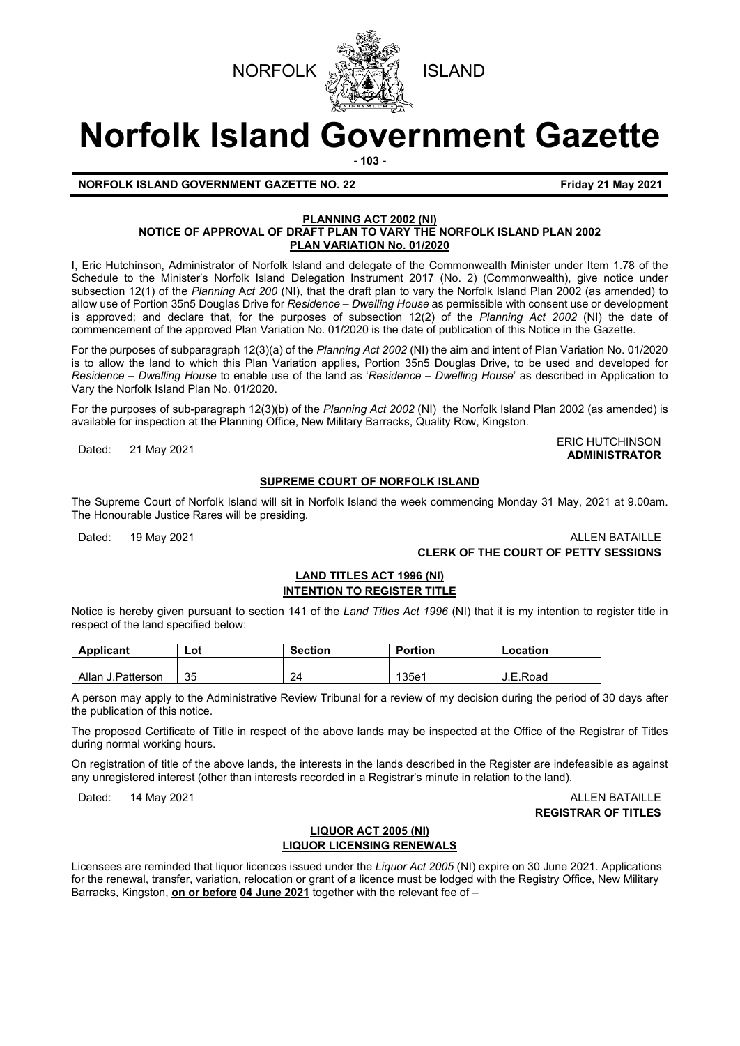



# **Norfolk Island Government Gazette**

**- 103 -**

#### **NORFOLK ISLAND GOVERNMENT GAZETTE NO. 22 Friday 21 May 2021**

#### **PLANNING ACT 2002 (NI) NOTICE OF APPROVAL OF DRAFT PLAN TO VARY THE NORFOLK ISLAND PLAN 2002 PLAN VARIATION No. 01/2020**

I, Eric Hutchinson, Administrator of Norfolk Island and delegate of the Commonwealth Minister under Item 1.78 of the Schedule to the Minister's Norfolk Island Delegation Instrument 2017 (No. 2) (Commonwealth), give notice under subsection 12(1) of the *Planning* A*ct 200* (NI), that the draft plan to vary the Norfolk Island Plan 2002 (as amended) to allow use of Portion 35n5 Douglas Drive for *Residence – Dwelling House* as permissible with consent use or development is approved; and declare that, for the purposes of subsection 12(2) of the *Planning Act 2002* (NI) the date of commencement of the approved Plan Variation No. 01/2020 is the date of publication of this Notice in the Gazette.

For the purposes of subparagraph 12(3)(a) of the *Planning Act 2002* (NI) the aim and intent of Plan Variation No. 01/2020 is to allow the land to which this Plan Variation applies, Portion 35n5 Douglas Drive, to be used and developed for *Residence – Dwelling House* to enable use of the land as '*Residence – Dwelling House*' as described in Application to Vary the Norfolk Island Plan No. 01/2020.

For the purposes of sub-paragraph 12(3)(b) of the *Planning Act 2002* (NI) the Norfolk Island Plan 2002 (as amended) is available for inspection at the Planning Office, New Military Barracks, Quality Row, Kingston.

#### Dated: 21 May 2021<br>Dated: 21 May 2021 **ADMINISTRATOR**

#### **SUPREME COURT OF NORFOLK ISLAND**

The Supreme Court of Norfolk Island will sit in Norfolk Island the week commencing Monday 31 May, 2021 at 9.00am. The Honourable Justice Rares will be presiding.

#### Dated: 19 May 2021 2008 12:00 12:00 12:00 12:00 12:00 12:00 12:00 12:00 12:00 12:00 12:00 12:00 12:00 12:00 12:00 12:00 12:00 12:00 12:00 12:00 12:00 12:00 12:00 12:00 12:00 12:00 12:00 12:00 12:00 12:00 12:00 12:00 12:00 **CLERK OF THE COURT OF PETTY SESSIONS**

#### **LAND TITLES ACT 1996 (NI) INTENTION TO REGISTER TITLE**

Notice is hereby given pursuant to section 141 of the *Land Titles Act 1996* (NI) that it is my intention to register title in respect of the land specified below:

| <b>Applicant</b>  | Lot | <b>Section</b> | <b>Portion</b>    | Location |
|-------------------|-----|----------------|-------------------|----------|
|                   |     |                |                   |          |
| Allan J.Patterson | 35  | 24             | 135e <sup>4</sup> | J.E.Road |

A person may apply to the Administrative Review Tribunal for a review of my decision during the period of 30 days after the publication of this notice.

The proposed Certificate of Title in respect of the above lands may be inspected at the Office of the Registrar of Titles during normal working hours.

On registration of title of the above lands, the interests in the lands described in the Register are indefeasible as against any unregistered interest (other than interests recorded in a Registrar's minute in relation to the land).

#### Dated: 14 May 2021 2012 12:30 2012 12:30 20:30 20:30 20:30 20:30 20:30 20:30 20:30 20:30 20:30 20:30 20:30 20:30 20:30 20:30 20:30 20:30 20:30 20:30 20:30 20:30 20:30 20:30 20:30 20:30 20:30 20:30 20:30 20:30 20:30 20:30 2 **REGISTRAR OF TITLES**

#### **LIQUOR ACT 2005 (NI) LIQUOR LICENSING RENEWALS**

Licensees are reminded that liquor licences issued under the *Liquor Act 2005* (NI) expire on 30 June 2021. Applications for the renewal, transfer, variation, relocation or grant of a licence must be lodged with the Registry Office, New Military Barracks, Kingston, **on or before 04 June 2021** together with the relevant fee of –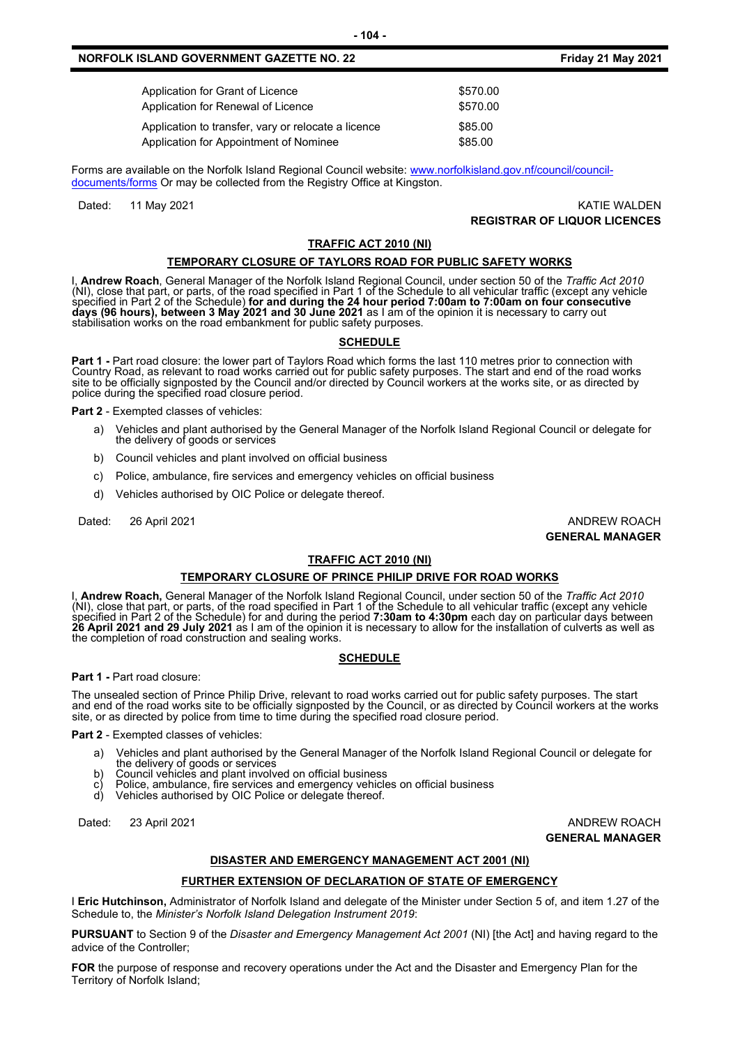#### **NORFOLK ISLAND GOVERNMENT GAZETTE NO. 22 Friday 21 May 2021**

| Application for Grant of Licence                    | \$570.00 |
|-----------------------------------------------------|----------|
| Application for Renewal of Licence                  | \$570.00 |
| Application to transfer, vary or relocate a licence | \$85.00  |
| Application for Appointment of Nominee              | \$85.00  |

Forms are available on the Norfolk Island Regional Council website: [www.norfolkisland.gov.nf/council/council](http://www.norfolkisland.gov.nf/council/council-documents/forms)[documents/forms](http://www.norfolkisland.gov.nf/council/council-documents/forms) Or may be collected from the Registry Office at Kingston.

Dated: 11 May 2021 KATIE WALDEN

### **REGISTRAR OF LIQUOR LICENCES**

#### **TRAFFIC ACT 2010 (NI)**

#### **TEMPORARY CLOSURE OF TAYLORS ROAD FOR PUBLIC SAFETY WORKS**

I, **Andrew Roach**, General Manager of the Norfolk Island Regional Council, under section 50 of the *Traffic Act 2010* (NI), close that part, or parts, of the road specified in Part 1 of the Schedule to all vehicular traffic (except any vehicle<br>specified in Part 2 of the Schedule) **for and during the 24 hour period 7:00am to 7:00am on four days (96 hours), between 3 May 2021 and 30 June 2021** as I am of the opinion it is necessary to carry out stabilisation works on the road embankment for public safety purposes.

#### **SCHEDULE**

Part 1 - Part road closure: the lower part of Taylors Road which forms the last 110 metres prior to connection with<br>Country Road, as relevant to road works carried out for public safety purposes. The start and end of the r site to be officially signposted by the Council and/or directed by Council workers at the works site, or as directed by police during the specified road closure period.

**Part 2** - Exempted classes of vehicles:

- a) Vehicles and plant authorised by the General Manager of the Norfolk Island Regional Council or delegate for the delivery of goods or services
- b) Council vehicles and plant involved on official business
- c) Police, ambulance, fire services and emergency vehicles on official business
- d) Vehicles authorised by OIC Police or delegate thereof.

Dated: 26 April 2021 **ANDREW ROACH** 

**GENERAL MANAGER**

#### **TRAFFIC ACT 2010 (NI)**

#### **TEMPORARY CLOSURE OF PRINCE PHILIP DRIVE FOR ROAD WORKS**

I, **Andrew Roach,** General Manager of the Norfolk Island Regional Council, under section 50 of the *Traffic Act 2010* (NI), close that part, or parts, of the road specified in Part 1 of the Schedule to all vehicular traffic (except any vehicle<br>specified in Part 2 of the Schedule) for and during the period 7:30am to 4:30pm each day on part **26 April 2021 and 29 July 2021** as I am of the opinion it is necessary to allow for the installation of culverts as well as the completion of road construction and sealing works.

#### **SCHEDULE**

**Part 1 -** Part road closure:

The unsealed section of Prince Philip Drive, relevant to road works carried out for public safety purposes. The start<br>and end of the road works site to be officially signposted by the Council, or as directed by Council wor site, or as directed by police from time to time during the specified road closure period.

**Part 2** - Exempted classes of vehicles:

- a) Vehicles and plant authorised by the General Manager of the Norfolk Island Regional Council or delegate for the delivery of goods or services
- b) Council vehicles and plant involved on official business
- c) Police, ambulance, fire services and emergency vehicles on official business<br>d) Vehicles authorised by OIC Police or delegate thereof.
- Vehicles authorised by OIC Police or delegate thereof.

Dated: 23 April 2021 **ANDREW ROACH CONSUMING THE CONSUMING THE CONSUMING TEAM** AND REW ROACH

## **GENERAL MANAGER**

#### **DISASTER AND EMERGENCY MANAGEMENT ACT 2001 (NI)**

#### **FURTHER EXTENSION OF DECLARATION OF STATE OF EMERGENCY**

I **Eric Hutchinson,** Administrator of Norfolk Island and delegate of the Minister under Section 5 of, and item 1.27 of the Schedule to, the *Minister's Norfolk Island Delegation Instrument 2019*:

**PURSUANT** to Section 9 of the *Disaster and Emergency Management Act 2001* (NI) [the Act] and having regard to the advice of the Controller;

**FOR** the purpose of response and recovery operations under the Act and the Disaster and Emergency Plan for the Territory of Norfolk Island;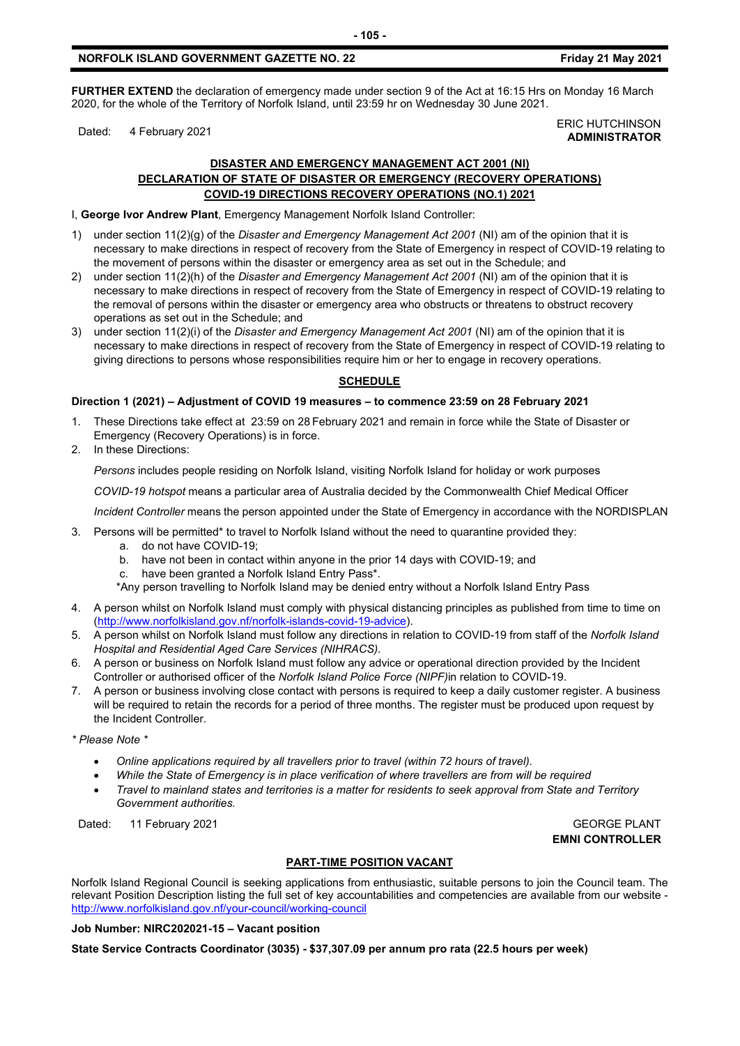#### **NORFOLK ISLAND GOVERNMENT GAZETTE NO. 22 Friday 21 May 2021**

**FURTHER EXTEND** the declaration of emergency made under section 9 of the Act at 16:15 Hrs on Monday 16 March 2020, for the whole of the Territory of Norfolk Island, until 23:59 hr on Wednesday 30 June 2021.

#### Dated: 4 February 2021<br>Dated: 4 February 2021 **ADMINISTRATOR**

#### **DISASTER AND EMERGENCY MANAGEMENT ACT 2001 (NI) DECLARATION OF STATE OF DISASTER OR EMERGENCY (RECOVERY OPERATIONS) COVID-19 DIRECTIONS RECOVERY OPERATIONS (NO.1) 2021**

I, **George Ivor Andrew Plant**, Emergency Management Norfolk Island Controller:

- 1) under section 11(2)(g) of the *Disaster and Emergency Management Act 2001* (NI) am of the opinion that it is necessary to make directions in respect of recovery from the State of Emergency in respect of COVID-19 relating to the movement of persons within the disaster or emergency area as set out in the Schedule; and
- 2) under section 11(2)(h) of the *Disaster and Emergency Management Act 2001* (NI) am of the opinion that it is necessary to make directions in respect of recovery from the State of Emergency in respect of COVID-19 relating to the removal of persons within the disaster or emergency area who obstructs or threatens to obstruct recovery operations as set out in the Schedule; and
- 3) under section 11(2)(i) of the *Disaster and Emergency Management Act 2001* (NI) am of the opinion that it is necessary to make directions in respect of recovery from the State of Emergency in respect of COVID-19 relating to giving directions to persons whose responsibilities require him or her to engage in recovery operations.

#### **SCHEDULE**

#### **Direction 1 (2021) – Adjustment of COVID 19 measures – to commence 23:59 on 28 February 2021**

- 1. These Directions take effect at 23:59 on 28 February 2021 and remain in force while the State of Disaster or Emergency (Recovery Operations) is in force.
- 2. In these Directions:

*Persons* includes people residing on Norfolk Island, visiting Norfolk Island for holiday or work purposes

*COVID-19 hotspot* means a particular area of Australia decided by the Commonwealth Chief Medical Officer

*Incident Controller* means the person appointed under the State of Emergency in accordance with the NORDISPLAN

- 3. Persons will be permitted\* to travel to Norfolk Island without the need to quarantine provided they:
	- a. do not have COVID-19;
	- b. have not been in contact within anyone in the prior 14 days with COVID-19; and
	- c. have been granted a Norfolk Island Entry Pass\*.
	- \*Any person travelling to Norfolk Island may be denied entry without a Norfolk Island Entry Pass
- 4. A person whilst on Norfolk Island must comply with physical distancing principles as published from time to time on [\(http://www.norfolkisland.gov.nf/norfolk-islands-covid-19-advice\)](http://www.norfolkisland.gov.nf/norfolk-islands-covid-19-advice).
- 5. A person whilst on Norfolk Island must follow any directions in relation to COVID-19 from staff of the *Norfolk Island Hospital and Residential Aged Care Services (NIHRACS).*
- 6. A person or business on Norfolk Island must follow any advice or operational direction provided by the Incident Controller or authorised officer of the *Norfolk Island Police Force (NIPF)*in relation to COVID-19.
- 7. A person or business involving close contact with persons is required to keep a daily customer register. A business will be required to retain the records for a period of three months. The register must be produced upon request by the Incident Controller.
- *\* Please Note \** 
	- *Online applications required by all travellers prior to travel (within 72 hours of travel).*
	- *While the State of Emergency is in place verification of where travellers are from will be required*
	- *Travel to mainland states and territories is a matter for residents to seek approval from State and Territory Government authorities.*

Dated: 11 February 2021 **GEORGE PLANT** 

**EMNI CONTROLLER**

#### **PART-TIME POSITION VACANT**

Norfolk Island Regional Council is seeking applications from enthusiastic, suitable persons to join the Council team. The relevant Position Description listing the full set of key accountabilities and competencies are available from our website <http://www.norfolkisland.gov.nf/your-council/working-council>

#### **Job Number: NIRC202021-15 – Vacant position**

**State Service Contracts Coordinator (3035) - \$37,307.09 per annum pro rata (22.5 hours per week)**

#### **- 105 -**